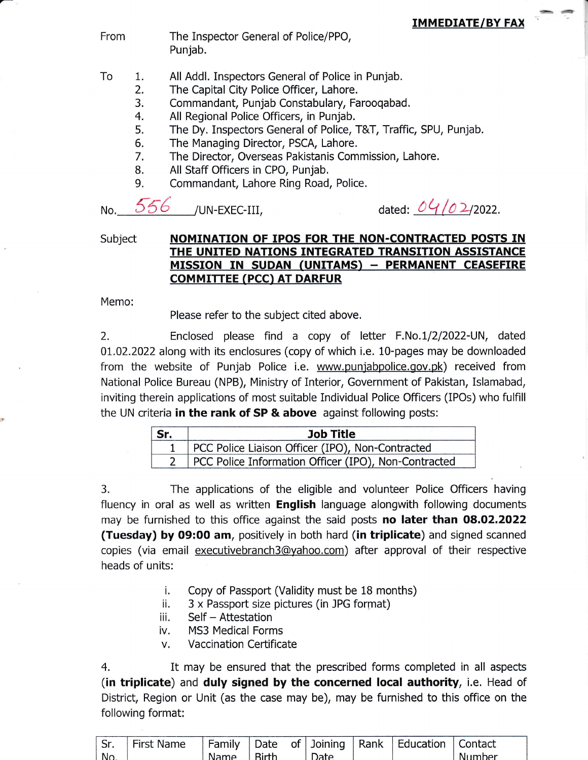From The Inspector General of Police/PPO, Punjab.

- All Addl. Inspectors General of Police in Punjab. To 1.
	- The Capital City Police Officer, Lahore. 2.
	- Commandant, Punjab Constabulary, Farooqabad. 3.
	- All Regional Police Officers, in Punjab. 4.
	- The Dy. Inspectors General of Police, T&T, Traffic, SPU, Punjab. 5.
	- The Managing Director, PSCA, Lahore. 6.
	- The Director, Overseas Pakistanis Commission, Lahore. 7.
	- All Staff Officers in CPO, Punjab. B.
	- Commandant, Lahore Ring Road, Police. 9.

No.  $556$  /UN-EXEC-III,

dated:  $0\frac{4}{0}$  2/2022.

## Subject MOMINATION OF IPOS FOR THE NON-CONTRACTED POSTS IN THE UNITED NATIONS INTEGRATED TRANSITION ASSISTANCE MISSION IN SUDAN (UNITAMS) - PERMANENT CEASEFIRE **COMMITTEE (PCC) AT DARFUR**

Memo:

Please refer to the subject cited above,

2. Enclosed please find a copy of letter F.No.1/2/2022-UN, dated 01.02.2022 along with its enclosures (copy of which i.e. 10-pages may be downloaded from the website of Punjab Police i.e, www,punjabpolice.gov.pk) received from National Police Bureau (NPB), Ministry of Interior, Government of Pakistan, Islamabad, inviting therein applications of most suitable Individual Police Officers (IPOs) who fulfill the UN criteria in the rank of SP & above against following posts:

| Sr. | <b>Job Title</b>                                     |  |  |  |  |  |
|-----|------------------------------------------------------|--|--|--|--|--|
|     | PCC Police Liaison Officer (IPO), Non-Contracted     |  |  |  |  |  |
|     | PCC Police Information Officer (IPO), Non-Contracted |  |  |  |  |  |

3. The applications of the eligible and volunteer Police Officers having fluency in oral as well as written **English** language alongwith following documents may be furnished to this office against the said posts no later than 08.02.2022 (Tuesday) by 09:00 am, positively in both hard (in triplicate) and signed scanned copies (via email executivebranch3@yahoo.com) after approval of their respective heads of units:

- i. Copy of Passport (Validity must be 18 months)<br>
ii. 3 x Passport size pictures (in JPG format)<br>
iii. Self Attestation<br>
iv. MS3 Medical Forms
- 
- 
- 
- v. Vaccination Certificate

4, It may be ensured that the prescribed forms completed in all aspects (in triplicate) and duly signed by the concerned Iocal authority, i.e. Head of District, Region or Unit (as the case may be), may be furnished to this office on the following format:

| Sr. | --<br>$  -$<br>ПΡ | $\cdots$<br>دانممر<br>a | Jate | 0t | Joining | Rank | $-1$<br>.<br><b>ICATION</b> | tact |  |
|-----|-------------------|-------------------------|------|----|---------|------|-----------------------------|------|--|
| N.  |                   |                         |      |    |         |      |                             | her  |  |